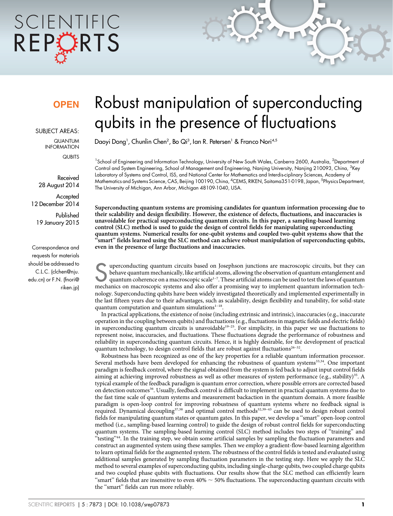# SCIENTIFIC REPCRTS

### **OPEN**

SUBJECT AREAS:

QUANTUM INFORMATION **QUBITS** 

Received 28 August 2014

**Accepted** 12 December 2014

Published 19 January 2015

Correspondence and requests for materials should be addressed to C.L.C. ([clchen@nju.](mailto:clchen@nju.edu.cn) [edu.cn\)](mailto:clchen@nju.edu.cn) or F.N. [\(fnori@](mailto:fnori@riken.jp) [riken.jp\)](mailto:fnori@riken.jp)

## Robust manipulation of superconducting qubits in the presence of fluctuations

Daoyi Dong<sup>1</sup>, Chunlin Chen<sup>2</sup>, Bo Qi<sup>3</sup>, Ian R. Petersen<sup>1</sup> & Franco Nori<sup>4,5</sup>

<sup>1</sup>School of Engineering and Information Technology, University of New South Wales, Canberra 2600, Australia, <sup>2</sup>Department of Control and System Engineering, School of Management and Engineering, Nanjing University, Nanjing 210093, China, <sup>3</sup>Key Laboratory of Systems and Control, ISS, and National Center for Mathematics and Interdis-ciplinary Sciences, Academy of Mathematics and Systems Science, CAS, Beijing 100190, China, <sup>4</sup>CEMS, RIKEN, Saitama351-0198, Japan, <sup>5</sup>Physics Department, The University of Michigan, Ann Arbor, Michigan 48109-1040, USA.

Superconducting quantum systems are promising candidates for quantum information processing due to their scalability and design flexibility. However, the existence of defects, fluctuations, and inaccuracies is unavoidable for practical superconducting quantum circuits. In this paper, a sampling-based learning control (SLC) method is used to guide the design of control fields for manipulating superconducting quantum systems. Numerical results for one-qubit systems and coupled two-qubit systems show that the  $\epsilon$ smart" fields learned using the SLC method can achieve robust manipulation of superconducting qubits, even in the presence of large fluctuations and inaccuracies.

Superconducting quantum circuits based on Josephson junctions are macroscopic circuits, but they can<br>behave quantum mechanically, like artificial atoms, allowing the observation of quantum entanglement and<br>quantum coherenc behave quantum mechanically, like artificial atoms, allowing the observation of quantum entanglement and mechanics on macroscopic systems and also offer a promising way to implement quantum information technology. Superconducting qubits have been widely investigated theoretically and implemented experimentally in the last fifteen years due to their advantages, such as scalability, design flexibility and tunability, for solid-state quantum computation and quantum simulations<sup>1-18</sup>.

In practical applications, the existence of noise (including extrinsic and intrinsic), inaccuracies (e.g., inaccurate operation in the coupling between qubits) and fluctuations (e.g., fluctuations in magnetic fields and electric fields) in superconducting quantum circuits is unavoidable<sup>19–25</sup>. For simplicity, in this paper we use fluctuations to represent noise, inaccuracies, and fluctuations. These fluctuations degrade the performance of robustness and reliability in superconducting quantum circuits. Hence, it is highly desirable, for the development of practical quantum technology, to design control fields that are robust against fluctuations<sup>26–32</sup>.

Robustness has been recognized as one of the key properties for a reliable quantum information processor. Several methods have been developed for enhancing the robustness of quantum systems<sup>33,34</sup>. One important paradigm is feedback control, where the signal obtained from the system is fed back to adjust input control fields aiming at achieving improved robustness as well as other measures of system performance (e.g., stability)<sup>35</sup>. A typical example of the feedback paradigm is quantum error correction, where possible errors are corrected based on detection outcomes<sup>36</sup>. Usually, feedback control is difficult to implement in practical quantum systems due to the fast time scale of quantum systems and measurement backaction in the quantum domain. A more feasible paradigm is open-loop control for improving robustness of quantum systems where no feedback signal is required. Dynamical decoupling<sup>37,38</sup> and optimal control methods<sup>32,39–43</sup> can be used to design robust control fields for manipulating quantum states or quantum gates. In this paper, we develop a ''smart'' open-loop control method (i.e., sampling-based learning control) to guide the design of robust control fields for superconducting quantum systems. The sampling-based learning control (SLC) method includes two steps of ''training'' and ''testing''44. In the training step, we obtain some artificial samples by sampling the fluctuation parameters and construct an augmented system using these samples. Then we employ a gradient-flow-based learning algorithm to learn optimal fields for the augmented system. The robustness of the control fields is tested and evaluated using additional samples generated by sampling fluctuation parameters in the testing step. Here we apply the SLC method to several examples of superconducting qubits, including single-charge qubits, two coupled charge qubits and two coupled phase qubits with fluctuations. Our results show that the SLC method can efficiently learn "smart" fields that are insensitive to even  $40\% \sim 50\%$  fluctuations. The superconducting quantum circuits with the ''smart'' fields can run more reliably.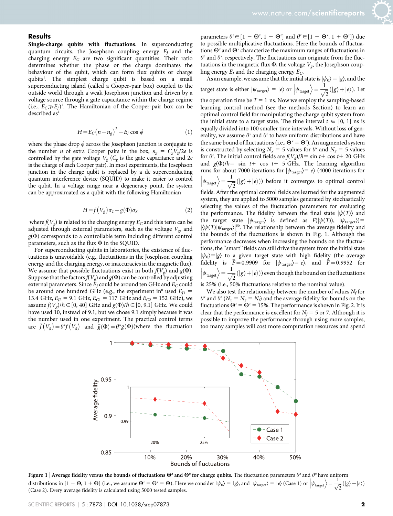#### **Results**

Single-charge qubits with fluctuations. In superconducting quantum circuits, the Josephson coupling energy  $E_I$  and the charging energy  $E_C$  are two significant quantities. Their ratio determines whether the phase or the charge dominates the behaviour of the qubit, which can form flux qubits or charge qubits<sup>1</sup>. The simplest charge qubit is based on a small superconducting island (called a Cooper-pair box) coupled to the outside world through a weak Josephson junction and driven by a voltage source through a gate capacitance within the charge regime (i.e.,  $E_C \gg E_J$ )<sup>1</sup>. The Hamiltonian of the Cooper-pair box can be described as<sup>1</sup>

$$
H = E_C (n - n_g)^2 - E_J \cos \phi \tag{1}
$$

where the phase drop  $\phi$  across the Josephson junction is conjugate to the number *n* of extra Cooper pairs in the box,  $n_g = C_g V_g/2e$  is controlled by the gate voltage  $V_g$  ( $C_g$  is the gate capacitance and 2e is the charge of each Cooper pair). In most experiments, the Josephson junction in the charge qubit is replaced by a dc superconducting quantum interference device (SQUID) to make it easier to control the qubit. In a voltage range near a degeneracy point, the system can be approximated as a qubit with the following Hamiltonian

$$
H = f(V_g)\sigma_z - g(\Phi)\sigma_x \tag{2}
$$

where  $f(V_g)$  is related to the charging energy  $E_C$  and this term can be adjusted through external parameters, such as the voltage  $V_{\rm g}$  and  $g(\Phi)$  corresponds to a controllable term including different control parameters, such as the flux  $\Phi$  in the SQUID.

For superconducting qubits in laboratories, the existence of fluctuations is unavoidable (e.g., fluctuations in the Josephson coupling energy and the charging energy, or inaccuracies in the magnetic flux). We assume that possible fluctuations exist in both  $f(V_g)$  and  $g(\Phi)$ . Suppose that the factors  $f(V_g)$  and  $g(\Phi)$  can be controlled by adjusting external parameters. Since  $E_I$  could be around ten GHz and  $E_C$  could be around one hundred GHz (e.g., the experiment in<sup>8</sup> used  $E_{J1}$  = 13.4 GHz,  $E_{J2} = 9.1$  GHz,  $E_{C1} = 117$  GHz and  $E_{C2} = 152$  GHz), we assume  $f(V_g)/\hbar \in [0, 40]$  GHz and  $g(\Phi)/\hbar \in [0, 9.1]$  GHz. We could have used 10, instead of 9.1, but we chose 9.1 simply because it was the number used in one experiment. The practical control terms are  $\bar{f}(V_g) = \theta^2 f(V_g)$  and  $\bar{g}(\Phi) = \theta^x g(\Phi)$  (where the fluctuation

parameters  $\theta^z \in [1 - \Theta^z, 1 + \Theta^z]$  and  $\theta^x \in [1 - \Theta^x, 1 + \Theta^x]$ ) due to possible multiplicative fluctuations. Here the bounds of fluctuations  $\Theta^z$  and  $\Theta^x$  characterize the maximum ranges of fluctuations in  $\theta^z$  and  $\theta^x$ , respectively. The fluctuations can originate from the fluctuations in the magnetic flux  $\Phi$ , the voltage  $V_{\varphi}$ , the Josephson coupling energy  $E_J$  and the charging energy  $E_C$ .

As an example, we assume that the initial state is  $|\psi_0\rangle = |g\rangle$ , and the target state is either  $|\psi_{\text{target}}\rangle = |e\rangle$  or  $|\psi_{\text{target}}\rangle$  $\begin{array}{c} \n\end{array}$  $\left\langle \frac{1}{\sqrt{2}}(|g\rangle + |e\rangle \right\rangle$ . Let the operation time be  $T = 1$  ns. Now we employ the sampling-based learning control method (see the methods Section) to learn an optimal control field for manipulating the charge qubit system from the initial state to a target state. The time interval  $t \in [0, 1]$  ns is equally divided into 100 smaller time intervals. Without loss of generality, we assume  $\theta^x$  and  $\theta^z$  to have uniform distributions and have the same bound of fluctuations (i.e.,  $\Theta^x = \Theta^z$ ). An augmented system is constructed by selecting  $N_x = 5$  values for  $\theta^x$  and  $N_z = 5$  values for  $\theta^z$ . The initial control fields are  $f(V_g)/\hbar = \sin t + \cos t + 20 \text{ GHz}$ and  $g(\Phi)/\hbar = \sin t + \cos t + 5$  GHz. The learning algorithm runs for about 7000 iterations for  $|\psi_{\text{target}}\rangle = |e\rangle$  (4000 iterations for  $\psi_{\text{target}}$  $\begin{array}{c} \begin{array}{c} \begin{array}{c} \end{array} \\ \begin{array}{c} \end{array} \end{array} \end{array}$  $\left\langle \frac{1}{\sqrt{2}}(|g\rangle+|e\rangle)\right\rangle$  before it converges to optimal control fields. After the optimal control fields are learned for the augmented system, they are applied to 5000 samples generated by stochastically selecting the values of the fluctuation parameters for evaluating the performance. The fidelity between the final state  $|\psi(T)\rangle$  and the target state  $|\psi_{\text{target}}\rangle$  is defined as  $F(|\psi(T)\rangle, |\psi_{\text{target}}\rangle)$  =  $|\langle \psi(T) | \psi_{\text{target}} \rangle|^{50}$ . The relationship between the average fidelity and the bounds of the fluctuations is shown in Fig. 1. Although the performance decreases when increasing the bounds on the fluctuations, the ''smart'' fields can still drive the system from the initial state  $|\psi_0\rangle = |g\rangle$  to a given target state with high fidelity (the average fidelity is  $\bar{F} = 0.9909$  for  $|\psi_{\text{target}}\rangle = |e\rangle$ , and  $\bar{F} = 0.9952$  for  $\psi_{\text{target}}$  $\begin{array}{c} \hline \end{array}$  $\left\langle \frac{1}{\sqrt{2}}(|g\rangle+|e\rangle)\right\rangle$  even though the bound on the fluctuations is 25% (i.e., 50% fluctuations relative to the nominal value).

We also test the relationship between the number of values  $N_f$  for  $\theta^x$  and  $\theta^z$  ( $N_x = N_z = N_f$ ) and the average fidelity for bounds on the fluctuations  $\Theta^z = \Theta^x = 15$ %. The performance is shown in Fig. 2. It is clear that the performance is excellent for  $N_f = 5$  or 7. Although it is possible to improve the performance through using more samples, too many samples will cost more computation resources and spend



Figure 1 | Average fidelity versus the bounds of fluctuations  $\mathbf{\Theta}^z$  and  $\mathbf{\Theta}^x$  for charge qubits. The fluctuation parameters  $\theta^z$  and  $\theta^x$  have uniform distributions in  $[1 - \Theta, 1 + \Theta]$  (i.e., we assume  $\Theta^z = \Theta^x = \Theta$ ). Here we consider  $|\psi_0\rangle = |g\rangle$ , and  $|\psi_{\text{target}}| = |e\rangle$  (Case 1) or  $|\psi_{\text{target}}\rangle = \frac{1}{\sqrt{2}}(|g\rangle + |e\rangle)$ (Case 2). Every average fidelity is calculated using 5000 tested samples.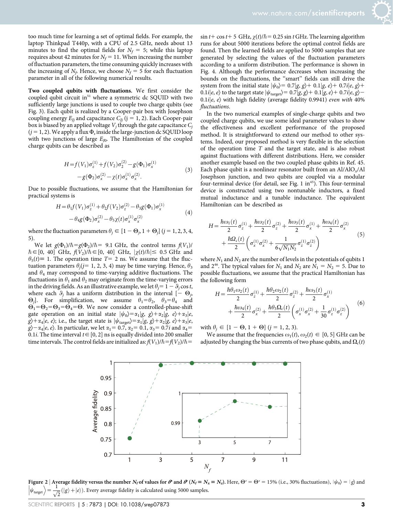too much time for learning a set of optimal fields. For example, the laptop Thinkpad T440p, with a CPU of 2.5 GHz, needs about 13 minutes to find the optimal fields for  $N_f = 5$ ; while this laptop requires about 42 minutes for  $N_f = 11$ . When increasing the number of fluctuation parameters, the time consuming quickly increases with the increasing of  $N_f$ . Hence, we choose  $N_f = 5$  for each fluctuation parameter in all of the following numerical results.

Two coupled qubits with fluctuations. We first consider the coupled qubit circuit in $51$  where a symmetric dc SQUID with two sufficiently large junctions is used to couple two charge qubits (see Fig. 3). Each qubit is realized by a Cooper-pair box with Josephson coupling energy  $E_{li}$  and capacitance  $C_{li}$  (j = 1, 2). Each Cooper-pair box is biased by an applied voltage  $V_i$  through the gate capacitance  $C_i$  $(j = 1, 2)$ . We apply a flux  $\Phi_s$  inside the large-junction dc SQUID loop with two junctions of large  $E_{I0}$ . The Hamiltonian of the coupled charge qubits can be described as

$$
H = f(V_1)\sigma_z^{(1)} + f(V_2)\sigma_2^{(2)} - g(\Phi_1)\sigma_x^{(1)}
$$
  
-  $g(\Phi_2)\sigma_x^{(2)} - \chi(t)\sigma_x^{(1)}\sigma_x^{(2)}$ . (3)

Due to possible fluctuations, we assume that the Hamiltonian for practical systems is

$$
H = \theta_1 f(V_1) \sigma_z^{(1)} + \theta_2 f(V_2) \sigma_z^{(2)} - \theta_3 g(\Phi_1) \sigma_x^{(1)} - \theta_4 g(\Phi_2) \sigma_x^{(2)} - \theta_5 \chi(t) \sigma_x^{(1)} \sigma_x^{(2)}
$$
(4)

where the fluctuation parameters  $\theta_j \in [1 - \Theta_j, 1 + \Theta_j]$  (j = 1, 2, 3, 4, 5).

We let  $g(\Phi_1)/\hbar = g(\Phi_2)/\hbar = 9.1$  GHz, the control terms  $f(V_1)/\hbar = 9.1$  $\hbar \in [0, 40]$  GHz,  $\hat{f}(V_2)/\hbar \in [0, 40]$  GHz,  $|\chi(t)/\hbar| \le 0.5$  GHz and  $\theta_5(t) \equiv 1$ . The operation time T= 2 ns. We assume that the fluctuation parameters  $\theta_i$  ( $j=1, 2, 3, 4$ ) may be time varying. Hence,  $\theta_3$ and  $\theta_4$  may correspond to time-varying additive fluctuations. The fluctuations in  $\theta_1$  and  $\theta_2$  may originate from the time-varying errors in the driving fields. As an illustrative example, we let  $\theta_i = 1 - \theta_i \cos t$ , where each  $\theta_i$  has a uniform distribution in the interval  $[-\Theta_i,$  $\Theta_i$ ]. For simplification, we assume  $\theta_1 = \theta_2$ ,  $\theta_3 = \theta_4$  and  $\Theta_1 = \Theta_2 = \Theta_3 = \Theta_4 = \Theta$ . We now consider a controlled-phase-shift gate operation on an initial state  $|\psi_0\rangle = \alpha_1|g, g\rangle + \alpha_2|g, e\rangle + \alpha_3|e,$  $g\rangle + \alpha_4|e, e\rangle$ ; i.e., the target state is  $|\psi_{\text{target}}\rangle = \alpha_1|g, g\rangle + \alpha_2|g, e\rangle + \alpha_3|e,$  $g\rangle - \alpha_4 |e, e\rangle$ . In particular, we let  $\alpha_1 = 0.7$ ,  $\alpha_2 = 0.1$ ,  $\alpha_3 = 0.7i$  and  $\alpha_4 =$ 0.1*i*. The time interval  $t \in [0, 2]$  ns is equally divided into 200 smaller time intervals. The control fields are initialized as:  $f(V_1)/\hbar = f(V_2)/\hbar =$ 

 $\sin t + \cos t + 5$  GHz,  $\chi(t)/\hbar = 0.25 \sin t$  GHz. The learning algorithm runs for about 5000 iterations before the optimal control fields are found. Then the learned fields are applied to 5000 samples that are generated by selecting the values of the fluctuation parameters according to a uniform distribution. The performance is shown in Fig. 4. Although the performance decreases when increasing the bounds on the fluctuations, the ''smart'' fields can still drive the system from the initial state  $|\psi_0\rangle = 0.7|g, g\rangle + 0.1|g, e\rangle + 0.7i|e, g\rangle +$ 0.1*i*|e, e} to the target state  $|\psi_{\text{target}}\rangle = 0.7|g, g\rangle + 0.1|g, e\rangle + 0.7i|e, g\rangle -$ 0.1i $|e, e\rangle$  with high fidelity (average fidelity 0.9941) even with 40% fluctuations.

In the two numerical examples of single-charge qubits and two coupled charge qubits, we use some ideal parameter values to show the effectiveness and excellent performance of the proposed method. It is straightforward to extend our method to other systems. Indeed, our proposed method is very flexible in the selection of the operation time  $T$  and the target state, and is also robust against fluctuations with different distributions. Here, we consider another example based on the two coupled phase qubits in Ref. 45. Each phase qubit is a nonlinear resonator built from an  $Al/AlO<sub>x</sub>/Al$ Josephson junction, and two qubits are coupled via a modular four-terminal device (for detail, see Fig. 1 in $45$ ). This four-terminal device is constructed using two nontunable inductors, a fixed mutual inductance and a tunable inductance. The equivalent Hamiltonian can be described as

$$
H = \frac{\hbar \omega_1(t)}{2} \sigma_z^{(1)} + \frac{\hbar \omega_2(t)}{2} \sigma_z^{(2)} + \frac{\hbar \omega_3(t)}{2} \sigma_x^{(1)} + \frac{\hbar \omega_4(t)}{2} \sigma_x^{(2)} + \frac{\hbar \omega_4(t)}{2} \sigma_z^{(2)} + \frac{\hbar \Omega_c(t)}{2} \left( \sigma_x^{(1)} \sigma_x^{(2)} + \frac{1}{6\sqrt{N_1 N_2}} \sigma_z^{(1)} \sigma_z^{(2)} \right)
$$
(5)

where  $N_1$  and  $N_2$  are the number of levels in the potentials of qubits 1 and 2<sup>46</sup>. The typical values for  $N_1$  and  $N_2$  are  $N_1 = N_2 = 5$ . Due to possible fluctuations, we assume that the practical Hamiltonian has the following form

$$
H = \frac{\hbar \theta_1 \omega_2(t)}{2} \sigma_z^{(1)} + \frac{\hbar \theta_2 \omega_2(t)}{2} \sigma_z^{(2)} + \frac{\hbar \omega_3(t)}{2} \sigma_x^{(1)} + \frac{\hbar \omega_4(t)}{2} \sigma_x^{(2)} + \frac{\hbar \theta_3 \Omega_c(t)}{2} \left( \sigma_x^{(1)} \sigma_x^{(2)} + \frac{1}{30} \sigma_z^{(1)} \sigma_z^{(2)} \right)
$$
(6)

with  $\theta_i \in [1 - \Theta, 1 + \Theta]$   $(j = 1, 2, 3)$ .

We assume that the frequencies  $\omega_1(t)$ ,  $\omega_2(t) \in [0, 5]$  GHz can be adjusted by changing the bias currents of two phase qubits, and  $\Omega_c(t)$ 



Figure 2 | Average fidelity versus the number N<sub>f</sub> of values for  $\theta$  and  $\theta$  (N<sub>f</sub> = N<sub>x</sub> = N<sub>z</sub>). Here,  $\Theta^z = \Theta^x = 15\%$  (i.e., 30% fluctuations),  $|\psi_0\rangle = |g\rangle$  and  $|\psi_{\text{current}}\rangle = \frac{1}{\sqrt{2}}(|g\rangle + |e\rangle)$ . Every average fid  $\psi_{\text{target}}$ I  $\frac{1}{2}$  $(\vert g \rangle + \vert e \rangle).$  Every average fidelity is calculated using 5000 samples.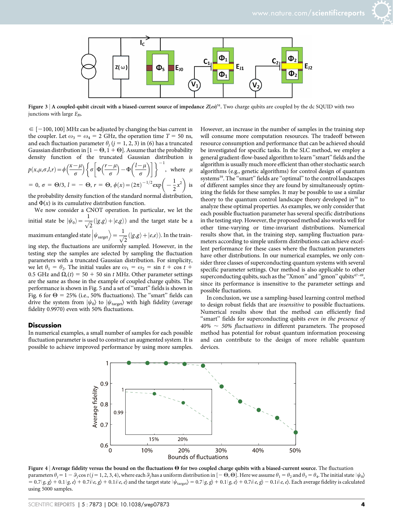

Figure 3 | A coupled-qubit circuit with a biased-current source of impedance  $Z(\omega)^{51}$ . Two charge qubits are coupled by the dc SQUID with two junctions with large  $E_{I0}$ .

 $\epsilon$  [-100, 100] MHz can be adjusted by changing the bias current in the coupler. Let  $\omega_3 = \omega_4 = 2$  GHz, the operation time  $T = 50$  ns, and each fluctuation parameter  $\theta_i$  (j = 1, 2, 3) in (6) has a truncated Gaussian distribution in  $[1 - \Theta, 1 + \Theta]$ . Assume that the probability density function of the truncated Gaussian distribution is  $p(x, \mu, \sigma, l, r) = \phi\left(\frac{x-\mu}{\sigma}\right) \left\{ \sigma \left[\Phi\left(\frac{r-\mu}{\sigma}\right) - \Phi\left(\frac{l-\mu}{\sigma}\right) \right] \right\}$  $(1 - u)$   $(1 - u)$ ]]<sup>-1</sup> , where  $\mu$ = 0,  $\sigma = \Theta/3$ ,  $l = -\Theta$ ,  $r = \Theta$ ,  $\phi(x) = (2\pi)^{-1/2} \exp\left(-\frac{1}{2}x^2\right)$  is  $(1)$ 

the probability density function of the standard normal distribution, and  $\Phi(x)$  is its cumulative distribution function.

We now consider a CNOT operation. In particular, we let the initial state be  $|\psi_0\rangle = \frac{1}{\sqrt{2}} (|g,g\rangle + |e,g\rangle)$  and the target state be a

maximum entangled state  $|\psi_{\text{sarget}}\>$  $\overline{\mathcal{L}}$  $\Big\rangle = \frac{1}{\sqrt{2}} ( \vert g, g \rangle + \vert e, e \rangle ).$  In the train-

ing step, the fluctuations are uniformly sampled. However, in the testing step the samples are selected by sampling the fluctuation parameters with a truncated Gaussian distribution. For simplicity, we let  $\theta_1 = \theta_2$ . The initial vaules are  $\omega_1 = \omega_2 = \sin t + \cos t +$ 0.5 GHz and  $\Omega_c(t) = 50 + 50 \sin t$  MHz. Other parameter settings are the same as those in the example of coupled charge qubits. The performance is shown in Fig. 5 and a set of ''smart'' fields is shown in Fig. 6 for  $\Theta = 25\%$  (i.e., 50% fluctuations). The "smart" fields can drive the system from  $|\psi_0\rangle$  to  $|\psi_{\text{target}}\rangle$  with high fidelity (average fidelity 0.9970) even with 50% fluctuations.

#### **Discussion**

In numerical examples, a small number of samples for each possible fluctuation parameter is used to construct an augmented system. It is possible to achieve improved performance by using more samples.

However, an increase in the number of samples in the training step will consume more computation resources. The tradeoff between resource consumption and performance that can be achieved should be investigated for specific tasks. In the SLC method, we employ a general gradient-flow-based algorithm to learn ''smart'' fields and the algorithm is usually much more efficient than other stochastic search algorithms (e.g., genetic algorithms) for control design of quantum systems<sup>39</sup>. The "smart" fields are "optimal" to the control landscapes of different samples since they are found by simultaneously optimizing the fields for these samples. It may be possible to use a similar theory to the quantum control landscape theory developed in<sup>39</sup> to analyze these optimal properties. As examples, we only consider that each possible fluctuation parameter has several specific distributions in the testing step. However, the proposed method also works well for other time-varying or time-invariant distributions. Numerical results show that, in the training step, sampling fluctuation parameters according to simple uniform distributions can achieve excellent performance for these cases where the fluctuation parameters have other distributions. In our numerical examples, we only consider three classes of superconducting quantum systems with several specific parameter settings. Our method is also applicable to other superconducting qubits, such as the "Xmon" and "gmon" qubits $47-49$ , since its performance is insensitive to the parameter settings and possible fluctuations.

In conclusion, we use a sampling-based learning control method to design robust fields that are insensitive to possible fluctuations. Numerical results show that the method can efficiently find "smart" fields for superconducting qubits even in the presence of  $40\% \sim 50\%$  fluctuations in different parameters. The proposed method has potential for robust quantum information processing and can contribute to the design of more reliable quantum devices.



Figure 4 | Average fidelity versus the bound on the fluctuations  $\Theta$  for two coupled charge qubits with a biased-current source. The fluctuation parameters  $\theta_j = 1 - \theta_j \cos t (j = 1, 2, 3, 4)$ , where each  $\theta_j$  has a uniform distribution in  $[-\Theta, \Theta]$ . Here we assume  $\theta_1 = \theta_2$  and  $\theta_3 = \theta_4$ . The initial state  $|\psi_0\rangle$  $= 0.7 |g, g \rangle + 0.1 |g, e \rangle + 0.7i|e, g \rangle + 0.1i|e, e \rangle$  and the target state  $|\psi_{\text{target}} \rangle = 0.7 |g, g \rangle + 0.1 |g, e \rangle + 0.7i|e, g \rangle - 0.1i|e, e \rangle$ . Each average fidelity is calculated using 5000 samples.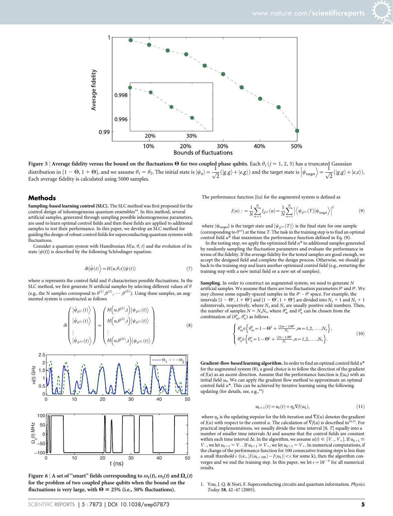



Figure 5 | Average fidelity versus the bound on the fluctuations  $\Theta$  for two coupled phase qubits. Each  $\theta_j$  ( $j = 1, 2, 3$ ) has a truncated Gaussian distribution in [1 – 0, 1 + 0], and we assume  $\theta_1 = \theta_2$ . The initial  $\ket{\frac{1}{\sqrt{2}}(\ket{g,g}+\ket{e,e})}.$ Each average fidelity is calculated using 5000 samples.

#### **Methods**

Sampling-based learning control (SLC). The SLC method was first proposed for the control design of inhomogeneous quantum ensembles<sup>44</sup>. In this method, several artificial samples, generated through sampling possible inhomogeneous parameters, are used to learn optimal control fields and then these fields are applied to additional samples to test their performance. In this paper, we develop an SLC method for guiding the design of robust control fields for superconducting quantum systems with **fluctuations** 

Consider a quantum system with Hamiltonian  $H(u, \theta, t)$  and the evolution of its state  $|\psi(t)\rangle$  is described by the following Schrödinger equation:

$$
i\hbar|\dot{\psi}(t)\rangle = H(u,\theta,t)|\psi(t)\rangle
$$
\n(7)

where *u* represents the control field and  $\theta$  characterizes possible fluctuations. In the SLC method, we first generate N artificial samples by selecting different values of  $\theta$ (e.g., the N samples correspond to  $\theta^{(1)}, \theta^{(2)}, \cdots, \theta^{(N)}$ ). Using these samples, an augmented system is constructed as follows

$$
i\hbar \begin{pmatrix} |\dot{\psi}_{\theta^{(1)}}(t) \rangle \\ |\dot{\psi}_{\theta^{(2)}}(t) \rangle \\ \vdots \\ |\dot{\psi}_{\theta^{(N)}}(t) \rangle \\ \end{pmatrix} = \begin{pmatrix} H\left(u, \theta^{(1)}, t\right) |\psi_{\theta^{(1)}}(t) \rangle \\ H\left(u, \theta^{(2)}, t\right) |\psi_{\theta^{(2)}}(t) \rangle \\ \vdots \\ H\left(u, \theta^{(N)}, t\right) |\psi_{\theta^{(N)}}(t) \rangle \end{pmatrix} . \tag{8}
$$



Figure 6 | A set of "smart" fields corresponding to  $\omega_1(t)$ ,  $\omega_2(t)$  and  $\Omega_c(t)$ for the problem of two coupled phase qubits when the bound on the fluctuations is very large, with  $\Theta = 25\%$  (i.e., 50% fluctuations).

The performance function J(u) for the augmented system is defined as

$$
J(u) : = \frac{1}{N} \sum_{n=1}^{N} J_{\theta^{(n)}}(u) = \frac{1}{N} \sum_{n=1}^{N} \left| \left\langle \psi_{\theta^{(n)}}(T) \middle| \psi_{\text{target}} \right\rangle \right|^{2} \tag{9}
$$

where  $|\psi_{\text{target}}\rangle$  is the target state and  $\big|\psi_{\theta^{(n)}}(T)\big>$  is the final state for one sample (corresponding to  $\theta^{(n)}$ ) at the time T. The task in the training step is to find an optimal control field  $u^*$  that maximizes the performance function defined in Eq. (9).

In the testing step, we apply the optimized field  $u^*$  to additional samples generated by randomly sampling the fluctuation parameters and evaluate the performance in terms of the fidelity. If the average fidelity for the tested samples are good enough, we accept the designed field and complete the design process. Otherwise, we should go back to the training step and learn another optimized control field (e.g., restarting the training step with a new initial field or a new set of samples).

Sampling. In order to construct an augmented system, we need to generate N artificial samples. We assume that there are two fluctuation parameters  $\theta^x$  and  $\theta^z$ . We may choose some equally-spaced samples in the  $\theta^x - \theta^z$  space. For example, the intervals  $[1 - \Theta^x, 1 + \Theta^x]$  and  $[1 - \Theta^z, 1 + \Theta^z]$  are divided into  $N_x + 1$  and  $N_z + 1$ subintervals, respectively, where  $N_x$  and  $N_z$  are usually positive odd numbers. Then, the number of samples  $N = N_x N_z$ , where  $\theta_m^x$  and  $\theta_n^z$  can be chosen from the combination of  $(\theta_m^x, \theta_n^z)$  as follows

$$
\begin{cases} \theta_m^x \in \left\{ \theta_m^x = 1 - \Theta^x + \frac{(2m-1)\Theta^x}{N_x}, m = 1, 2, \dots, N_x \right\}, \\ \theta_n^z \in \left\{ \theta_n^z = 1 - \Theta^z + \frac{(2n-1)\Theta^z}{N_z}, n = 1, 2, \dots, N_z \right\}. \end{cases} (10)
$$

Gradient-flow-based learning algorithm. In order to find an optimal control field  $u^*$ for the augmented system (8), a good choice is to follow the direction of the gradient of  $J(u)$  as an ascent direction. Assume that the performance function is  $J(u_0)$  with an initial field  $u_0$ . We can apply the gradient flow method to approximate an optimal control field  $u^\ast.$  This can be achieved by iterative learning using the following updating (for details, see, e.g.,<sup>44</sup>)

$$
u_{k+1}(t) = u_k(t) + \eta_k \nabla J(u_k), \qquad (11)
$$

where  $\eta_k$  is the updating stepsize for the kth iteration and  $\nabla J(u)$  denotes the gradient of  $J(u)$  with respect to the control u. The calculation of  $\nabla J(u)$  is described in<sup>44,52</sup>. For practical implementations, we usually divide the time interval [0, T] equally into a number of smaller time intervals  $\Delta t$  and assume that the control fields are constant within each time interval  $\Delta t$ . In the algorithm, we assume  $u(t) \in [V_-, V_+]$ . If  $u_{k+1} \leq$  $V_$ , we let  $u_{k+1} = V_$ . If  $u_{k+1} \geq V_+$ , we let  $u_{k+1} = V_+$ . In numerical computations, if the change of the performance function for 100 consecutive training steps is less than a small threshold  $\epsilon$  (i.e.,  $|J(u_{k+100}) - J(u_k)| < \epsilon$  for some k), then the algorithm converges and we end the training step. In this paper, we let  $\epsilon = 10^{-4}$  for all numerical results.

1. You, J. Q. & Nori, F. Superconducting circuits and quantum information. Physics Today 58, 42–47 (2005).